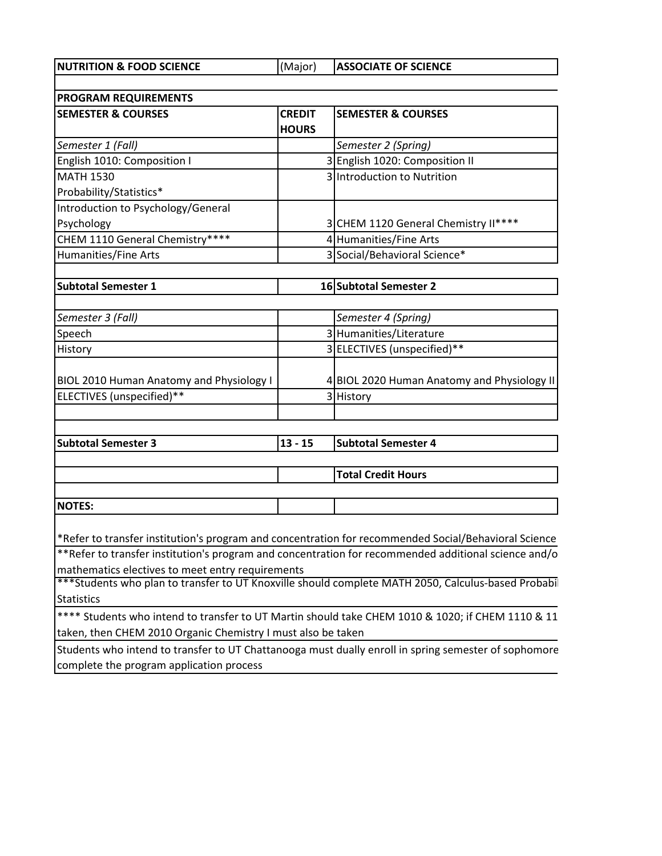**NUTRITION & FOOD SCIENCE** (Major) **ASSOCIATE OF SCIENCE** 

| <b>PROGRAM REQUIREMENTS</b>                                  |               |                                                                                                      |  |  |
|--------------------------------------------------------------|---------------|------------------------------------------------------------------------------------------------------|--|--|
| <b>SEMESTER &amp; COURSES</b>                                | <b>CREDIT</b> | <b>SEMESTER &amp; COURSES</b>                                                                        |  |  |
|                                                              | <b>HOURS</b>  |                                                                                                      |  |  |
| Semester 1 (Fall)                                            |               | Semester 2 (Spring)                                                                                  |  |  |
| English 1010: Composition I                                  |               | 3 English 1020: Composition II                                                                       |  |  |
| <b>MATH 1530</b>                                             |               | 3 Introduction to Nutrition                                                                          |  |  |
| Probability/Statistics*                                      |               |                                                                                                      |  |  |
| Introduction to Psychology/General                           |               |                                                                                                      |  |  |
| Psychology                                                   |               | 3 CHEM 1120 General Chemistry II****                                                                 |  |  |
| CHEM 1110 General Chemistry****                              |               | 4 Humanities/Fine Arts                                                                               |  |  |
| Humanities/Fine Arts                                         |               | 3 Social/Behavioral Science*                                                                         |  |  |
| <b>Subtotal Semester 1</b>                                   |               | 16 Subtotal Semester 2                                                                               |  |  |
|                                                              |               |                                                                                                      |  |  |
| Semester 3 (Fall)                                            |               | Semester 4 (Spring)                                                                                  |  |  |
| Speech                                                       |               | 3 Humanities/Literature                                                                              |  |  |
| History                                                      |               | 3 ELECTIVES (unspecified)**                                                                          |  |  |
| <b>BIOL 2010 Human Anatomy and Physiology I</b>              |               | 4 BIOL 2020 Human Anatomy and Physiology II                                                          |  |  |
| ELECTIVES (unspecified)**                                    |               | 3 History                                                                                            |  |  |
|                                                              |               |                                                                                                      |  |  |
| <b>Subtotal Semester 3</b>                                   | $13 - 15$     | <b>Subtotal Semester 4</b>                                                                           |  |  |
|                                                              |               | <b>Total Credit Hours</b>                                                                            |  |  |
|                                                              |               |                                                                                                      |  |  |
| <b>NOTES:</b>                                                |               |                                                                                                      |  |  |
|                                                              |               | *Refer to transfer institution's program and concentration for recommended Social/Behavioral Science |  |  |
|                                                              |               | **Refer to transfer institution's program and concentration for recommended additional science and/o |  |  |
| mathematics electives to meet entry requirements             |               |                                                                                                      |  |  |
|                                                              |               | ***Students who plan to transfer to UT Knoxville should complete MATH 2050, Calculus-based Probabil  |  |  |
| <b>Statistics</b>                                            |               |                                                                                                      |  |  |
|                                                              |               | **** Students who intend to transfer to UT Martin should take CHEM 1010 & 1020; if CHEM 1110 & 11    |  |  |
| taken, then CHEM 2010 Organic Chemistry I must also be taken |               |                                                                                                      |  |  |
|                                                              |               | Students who intend to transfer to UT Chattanooga must dually enroll in spring semester of sophomore |  |  |
| complete the program application process                     |               |                                                                                                      |  |  |
|                                                              |               |                                                                                                      |  |  |